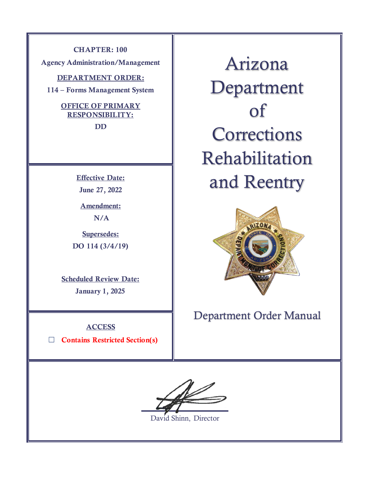**CHAPTER: 100 Agency Administration/Management**

**DEPARTMENT ORDER:**

**114 – Forms Management System**

## **OFFICE OF PRIMARY RESPONSIBILITY:**

**DD**

**Effective Date: June 27, 2022**

**Amendment: N/A**

**Supersedes: DO 114 (3/4/19)**

**Scheduled Review Date: January 1, 2025**

**ACCESS**

☐ **Contains Restricted Section(s)**

Arizona Department of **Corrections** Rehabilitation and Reentry



# Department Order Manual



David Shinn, Director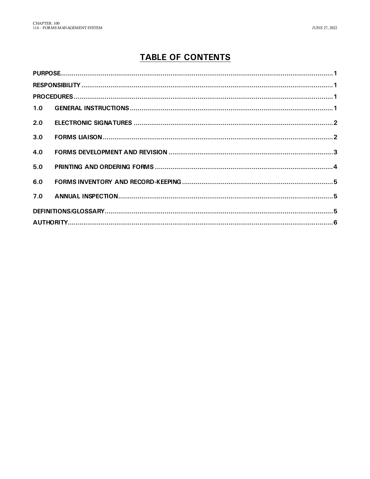# **TABLE OF CONTENTS**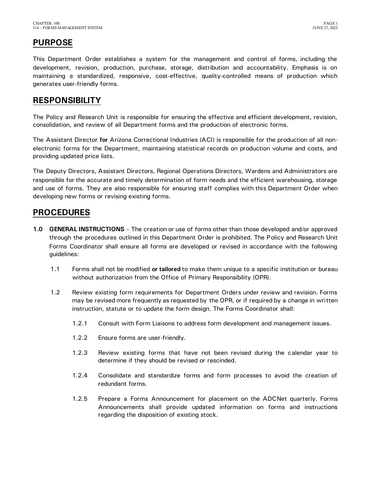# <span id="page-2-0"></span>**PURPOSE**

This Department Order establishes a system for the management and control of forms, including the development, revision, production, purchase, storage, distribution and accountability. Emphasis is on maintaining a standardized, responsive, cost-effective, quality-controlled means of production which generates user-friendly forms.

### <span id="page-2-1"></span>**RESPONSIBILITY**

The Policy and Research Unit is responsible for ensuring the effective and efficient development, revision, consolidation, and review of all Department forms and the production of electronic forms.

The Assistant Director **for** Arizona Correctional Industries (ACI) is responsible for the production of all nonelectronic forms for the Department, maintaining statistical records on production volume and costs, and providing updated price lists.

The Deputy Directors, Assistant Directors, Regional Operations Directors, Wardens and Administrators are responsible for the accurate and timely determination of form needs and the efficient warehousing, storage and use of forms. They are also responsible for ensuring staff complies with this Department Order when developing new forms or revising existing forms.

### <span id="page-2-2"></span>**PROCEDURES**

- <span id="page-2-3"></span>**1.0 GENERAL INSTRUCTIONS** – The creation or use of forms other than those developed and/or approved through the procedures outlined in this Department Order is prohibited. The Policy and Research Unit Forms Coordinator shall ensure all forms are developed or revised in accordance with the following guidelines:
	- 1.1 Forms shall not be modified **or tailored** to make them unique to a specific institution or bureau without authorization from the Office of Primary Responsibility (OPR).
	- 1.2 Review existing form requirements for Department Orders under review and revision. Forms may be revised more frequently as requested by the OPR, or if required by a change in written instruction, statute or to update the form design. The Forms Coordinator shall:
		- 1.2.1 Consult with Form Liaisons to address form development and management issues.
		- 1.2.2 Ensure forms are user-friendly.
		- 1.2.3 Review existing forms that have not been revised during the calendar year to determine if they should be revised or rescinded.
		- 1.2.4 Consolidate and standardize forms and form processes to avoid the creation of redundant forms.
		- 1.2.5 Prepare a Forms Announcement for placement on the ADCNet quarterly. Forms Announcements shall provide updated information on forms and instructions regarding the disposition of existing stock.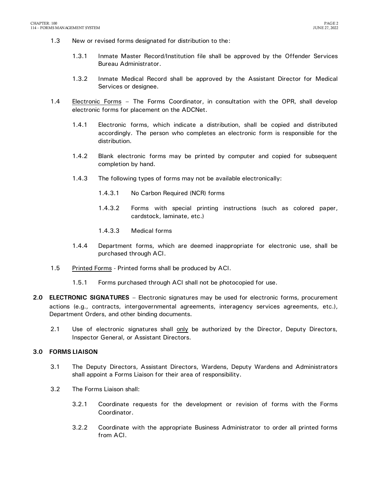- 1.3 New or revised forms designated for distribution to the:
	- 1.3.1 Inmate Master Record/Institution file shall be approved by the Offender Services Bureau Administrator.
	- 1.3.2 Inmate Medical Record shall be approved by the Assistant Director for Medical Services or designee.
- 1.4 Electronic Forms The Forms Coordinator, in consultation with the OPR, shall develop electronic forms for placement on the ADCNet.
	- 1.4.1 Electronic forms, which indicate a distribution, shall be copied and distributed accordingly. The person who completes an electronic form is responsible for the distribution.
	- 1.4.2 Blank electronic forms may be printed by computer and copied for subsequent completion by hand.
	- 1.4.3 The following types of forms may not be available electronically:
		- 1.4.3.1 No Carbon Required (NCR) forms
		- 1.4.3.2 Forms with special printing instructions (such as colored paper, cardstock, laminate, etc.)
		- 1.4.3.3 Medical forms
	- 1.4.4 Department forms, which are deemed inappropriate for electronic use, shall be purchased through ACI.
- 1.5 Printed Forms Printed forms shall be produced by ACI.
	- 1.5.1 Forms purchased through ACI shall not be photocopied for use.
- <span id="page-3-0"></span>**2.0 ELECTRONIC SIGNATURES** – Electronic signatures may be used for electronic forms, procurement actions (e.g., contracts, intergovernmental agreements, interagency services agreements, etc.), Department Orders, and other binding documents.
	- 2.1 Use of electronic signatures shall only be authorized by the Director, Deputy Directors, Inspector General, or Assistant Directors.

#### <span id="page-3-1"></span>**3.0 FORMS LIAISON**

- 3.1 The Deputy Directors, Assistant Directors, Wardens, Deputy Wardens and Administrators shall appoint a Forms Liaison for their area of responsibility.
- 3.2 The Forms Liaison shall:
	- 3.2.1 Coordinate requests for the development or revision of forms with the Forms Coordinator.
	- 3.2.2 Coordinate with the appropriate Business Administrator to order all printed forms from ACI.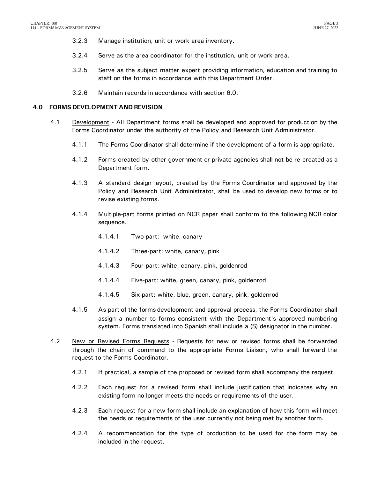- 3.2.3 Manage institution, unit or work area inventory.
- 3.2.4 Serve as the area coordinator for the institution, unit or work area.
- 3.2.5 Serve as the subject matter expert providing information, education and training to staff on the forms in accordance with this Department Order.
- 3.2.6 Maintain records in accordance with section 6.0.

#### <span id="page-4-0"></span>**4.0 FORMS DEVELOPMENT AND REVISION**

- 4.1 Development All Department forms shall be developed and approved for production by the Forms Coordinator under the authority of the Policy and Research Unit Administrator.
	- 4.1.1 The Forms Coordinator shall determine if the development of a form is appropriate.
	- 4.1.2 Forms created by other government or private agencies shall not be re-created as a Department form.
	- 4.1.3 A standard design layout, created by the Forms Coordinator and approved by the Policy and Research Unit Administrator, shall be used to develop new forms or to revise existing forms.
	- 4.1.4 Multiple-part forms printed on NCR paper shall conform to the following NCR color sequence.
		- 4.1.4.1 Two-part: white, canary
		- 4.1.4.2 Three-part: white, canary, pink
		- 4.1.4.3 Four-part: white, canary, pink, goldenrod
		- 4.1.4.4 Five-part: white, green, canary, pink, goldenrod
		- 4.1.4.5 Six-part: white, blue, green, canary, pink, goldenrod
	- 4.1.5 As part of the forms development and approval process, the Forms Coordinator shall assign a number to forms consistent with the Department's approved numbering system. Forms translated into Spanish shall include a (S) designator in the number.
- 4.2 New or Revised Forms Requests Requests for new or revised forms shall be forwarded through the chain of command to the appropriate Forms Liaison, who shall forward the request to the Forms Coordinator.
	- 4.2.1 If practical, a sample of the proposed or revised form shall accompany the request.
	- 4.2.2 Each request for a revised form shall include justification that indicates why an existing form no longer meets the needs or requirements of the user.
	- 4.2.3 Each request for a new form shall include an explanation of how this form will meet the needs or requirements of the user currently not being met by another form.
	- 4.2.4 A recommendation for the type of production to be used for the form may be included in the request.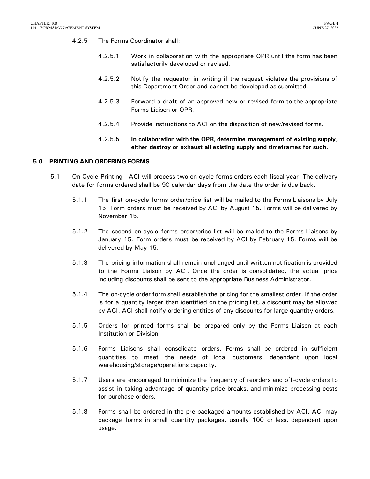- 4.2.5 The Forms Coordinator shall:
	- 4.2.5.1 Work in collaboration with the appropriate OPR until the form has been satisfactorily developed or revised.
	- 4.2.5.2 Notify the requestor in writing if the request violates the provisions of this Department Order and cannot be developed as submitted.
	- 4.2.5.3 Forward a draft of an approved new or revised form to the appropriate Forms Liaison or OPR.
	- 4.2.5.4 Provide instructions to ACI on the disposition of new/revised forms.
	- 4.2.5.5 **In collaboration with the OPR, determine management of existing supply; either destroy or exhaust all existing supply and timeframes for such.**

#### <span id="page-5-0"></span>**5.0 PRINTING AND ORDERING FORMS**

- 5.1 On-Cycle Printing ACI will process two on-cycle forms orders each fiscal year. The delivery date for forms ordered shall be 90 calendar days from the date the order is due back.
	- 5.1.1 The first on-cycle forms order/price list will be mailed to the Forms Liaisons by July 15. Form orders must be received by ACI by August 15. Forms will be delivered by November 15.
	- 5.1.2 The second on-cycle forms order/price list will be mailed to the Forms Liaisons by January 15. Form orders must be received by ACI by February 15. Forms will be delivered by May 15.
	- 5.1.3 The pricing information shall remain unchanged until written notification is provided to the Forms Liaison by ACI. Once the order is consolidated, the actual price including discounts shall be sent to the appropriate Business Administrator.
	- 5.1.4 The on-cycle order form shall establish the pricing for the smallest order. If the order is for a quantity larger than identified on the pricing list, a discount may be allowed by ACI. ACI shall notify ordering entities of any discounts for large quantity orders.
	- 5.1.5 Orders for printed forms shall be prepared only by the Forms Liaison at each Institution or Division.
	- 5.1.6 Forms Liaisons shall consolidate orders. Forms shall be ordered in sufficient quantities to meet the needs of local customers, dependent upon local warehousing/storage/operations capacity.
	- 5.1.7 Users are encouraged to minimize the frequency of reorders and off-cycle orders to assist in taking advantage of quantity price-breaks, and minimize processing costs for purchase orders.
	- 5.1.8 Forms shall be ordered in the pre-packaged amounts established by ACI. ACI may package forms in small quantity packages, usually 100 or less, dependent upon usage.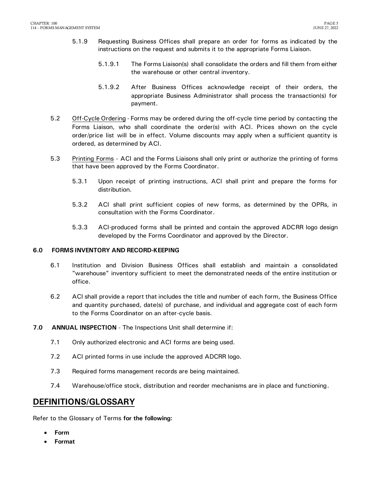- 5.1.9 Requesting Business Offices shall prepare an order for forms as indicated by the instructions on the request and submits it to the appropriate Forms Liaison.
	- 5.1.9.1 The Forms Liaison(s) shall consolidate the orders and fill them from either the warehouse or other central inventory.
	- 5.1.9.2 After Business Offices acknowledge receipt of their orders, the appropriate Business Administrator shall process the transaction(s) for payment.
- 5.2 Off-Cycle Ordering Forms may be ordered during the off-cycle time period by contacting the Forms Liaison, who shall coordinate the order(s) with ACI. Prices shown on the cycle order/price list will be in effect. Volume discounts may apply when a sufficient quantity is ordered, as determined by ACI.
- 5.3 Printing Forms ACI and the Forms Liaisons shall only print or authorize the printing of forms that have been approved by the Forms Coordinator.
	- 5.3.1 Upon receipt of printing instructions, ACI shall print and prepare the forms for distribution.
	- 5.3.2 ACI shall print sufficient copies of new forms, as determined by the OPRs, in consultation with the Forms Coordinator.
	- 5.3.3 ACI-produced forms shall be printed and contain the approved ADCRR logo design developed by the Forms Coordinator and approved by the Director.

#### <span id="page-6-0"></span>**6.0 FORMS INVENTORY AND RECORD-KEEPING**

- 6.1 Institution and Division Business Offices shall establish and maintain a consolidated "warehouse" inventory sufficient to meet the demonstrated needs of the entire institution or office.
- 6.2 ACI shall provide a report that includes the title and number of each form, the Business Office and quantity purchased, date(s) of purchase, and individual and aggregate cost of each form to the Forms Coordinator on an after-cycle basis.
- <span id="page-6-1"></span>**7.0 ANNUAL INSPECTION** - The Inspections Unit shall determine if:
	- 7.1 Only authorized electronic and ACI forms are being used.
	- 7.2 ACI printed forms in use include the approved ADCRR logo.
	- 7.3 Required forms management records are being maintained.
	- 7.4 Warehouse/office stock, distribution and reorder mechanisms are in place and functioning.

### <span id="page-6-2"></span>**DEFINITIONS/GLOSSARY**

Refer to the Glossary of Terms **for the following:**

- **Form**
- **Format**